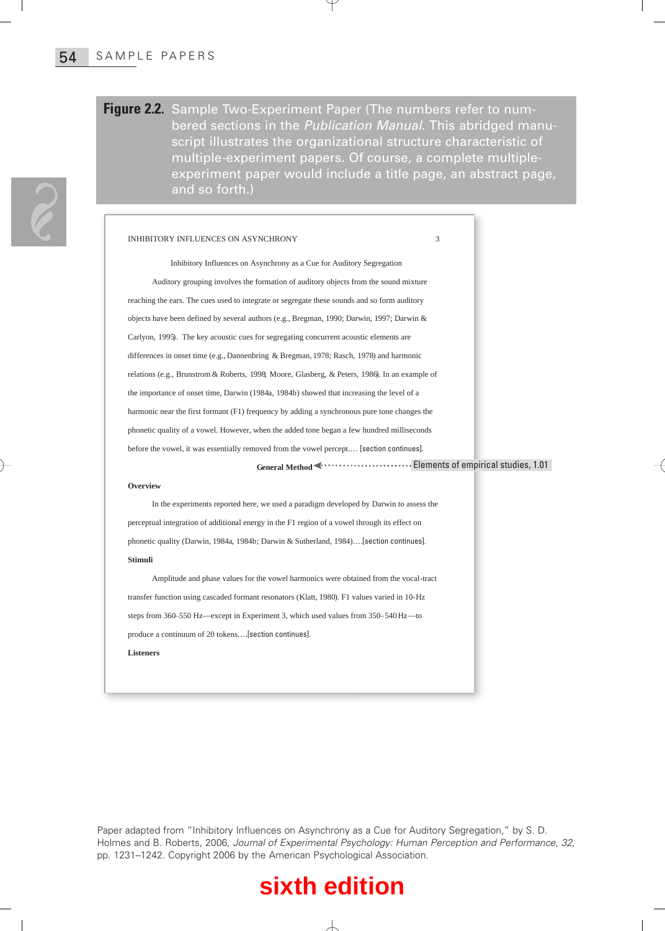### **Figure 2.2.** Sample Two-Experiment Paper (The numbers refer to numbered sections in the Publication Manual. This abridged manuscript illustrates the organizational structure characteristic of multiple-experiment papers. Of course, a complete multipleexperiment paper would include a title page, an abstract page, and so forth.)

### INHIBITORY INFLUENCES ON ASYNCHRONY

Inhibitory Influences on Asynchrony as a Cue for Auditory Segregation Auditory grouping involves the formation of auditory objects from the sound mixture reaching the ears. The cues used to integrate or segregate these sounds and so form auditory objects have been defined by several authors (e.g., Bregman, 1990; Darwin, 1997; Darwin & **Carlyon, 1997).** The key acoustic cues for segregating concurrent acoustic telements are acceled to the formulation of several particles for segregating concurrent paper would include a title and so forth.)<br>
EVALUATE: The **PLE PAPERS**<br> **TRENCE SECTION CONSTRANT CONSTRANT CONSTRANT CONSTRANT CONSTRANT CONSTRANT CONSTRANT CONSERVANT CONSERVANT CONSERVANT CONSERVANT CONSERVANT CONSERVANT CONSERVANT CONSERVAT CONSERVAT CONSERVAT CONSERVAT CONSE PLE PAPERS**<br> **PCONDIMET CONTROV** CONDITED TO *MACTOM MADILIATION ACTOMATE Secript* illustrates the *Organizational structure*<br>
multiple-experiment papers. Of course, a cc<br>
experiment paper would include a title page<br>
and **PLE PAPERS**<br> **TO 2.2.** Sample Two-Experiment Paper (The number<br>
bered sections in the *Publication Manual*<br>
script illustrates the organizational struct<br>
multiple-experiment papers. Of course, a<br>
experiment paper would i harmonic near the first formant (F1) frequency by adding a synchronous pure tone changes the phonetic quality of a vowel. However, when the added tone began a few hundred milliseconds before the vowel, it was essentially removed from the vowel percept.… [section continues]. **INHIBITORY INFLUENCES ON ASYNCHRONY**<br>
Inhibitory Influences on Asynchrony as a Cue for Auditory Segregation<br>
Auditory grouping involves the formation of auditory objects from the sound mixture<br>
reaching the ears. The cues Inhibitory Influences on Asynchrony as a Cue for Auditory Segregation<br>
Auditory grouping involves the formation of auditory objects from the sound mixture<br>
reaching the cars. The cues used to integrate or segregate these s

**General Method** Elements of empirical studies, 1.01

### **Overview**

In the experiments reported here, we used a paradigm developed by Darwin to assess the perceptual integration of additional energy in the F1 region of a vowel through its effect on **Stimuli**

Amplitude and phase values for the vowel harmonics were obtained from the vocal-tract steps from 360–550 Hz—except in Experiment 3, which used values from 350–540 Hz—to produce a continuum of 20 tokens.…[section continues]. **Listeners**

Paper adapted from "Inhibitory Influences on Asynchrony as a Cue for Auditory Segregation," by S. D. Holmes and B. Roberts, 2006, Journal of Experimental Psychology: Human Perception and Performance, 32, pp. 1231–1242. Copyright 2006 by the American Psychological Association.

## **sixth edition**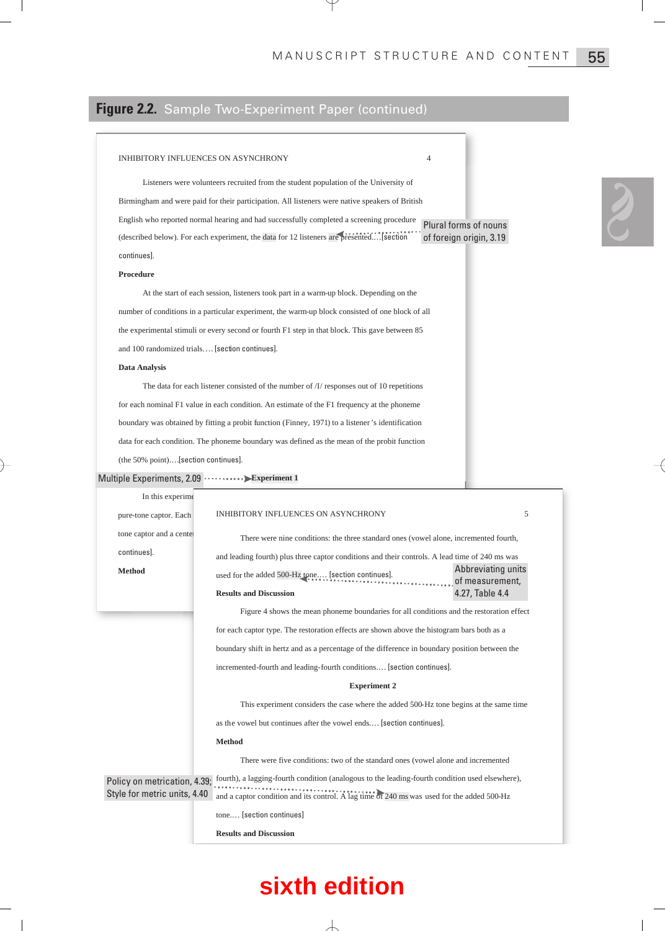## **Figure 2.2.** Sample Two-Experiment Paper (continued)

### INHIBITORY INFLUENCES ON ASYNCHRONY

### **Procedure**

### **Data Analysis**

The data for each listener consisted of the number of /I/ responses out of 10 repetitions for each nominal F1 value in each condition. An estimate of the F1 frequency at the phoneme IVIA IN U.S. CRIP I STRUCT STRUCT THE STRUCT UNITED TO A STRUCT THE STRUCT CONTINUES TO A STRUCT CONTINUES ON ASYNCHRONY<br>
Listeners were volunteers recruited from the student population of the University of<br>
Binningham an data for each condition. The phoneme boundary was defined as the mean of the probit function (the 50% point).…[section continues].

### Multiple Experiments, 2.09 ··········· Experiment 1

|                                                                                                                                                                                         | <b>igure 2.2.</b> Sample Two-Experiment Paper (continued)                                                                                                                                     |  |
|-----------------------------------------------------------------------------------------------------------------------------------------------------------------------------------------|-----------------------------------------------------------------------------------------------------------------------------------------------------------------------------------------------|--|
| INHIBITORY INFLUENCES ON ASYNCHRONY                                                                                                                                                     | 4                                                                                                                                                                                             |  |
|                                                                                                                                                                                         |                                                                                                                                                                                               |  |
| Listeners were volunteers recruited from the student population of the University of<br>Birmingham and were paid for their participation. All listeners were native speakers of British |                                                                                                                                                                                               |  |
|                                                                                                                                                                                         | English who reported normal hearing and had successfully completed a screening procedure                                                                                                      |  |
|                                                                                                                                                                                         | Plural forms of nouns<br>(described below). For each experiment, the data for 12 listeners are presented[section]<br>of foreign origin, 3.19                                                  |  |
| continues].                                                                                                                                                                             |                                                                                                                                                                                               |  |
| Procedure                                                                                                                                                                               |                                                                                                                                                                                               |  |
|                                                                                                                                                                                         | At the start of each session, listeners took part in a warm-up block. Depending on the                                                                                                        |  |
|                                                                                                                                                                                         | number of conditions in a particular experiment, the warm-up block consisted of one block of all                                                                                              |  |
| the experimental stimuli or every second or fourth F1 step in that block. This gave between 85                                                                                          |                                                                                                                                                                                               |  |
| and 100 randomized trials [section continues].                                                                                                                                          |                                                                                                                                                                                               |  |
| Data Analysis                                                                                                                                                                           |                                                                                                                                                                                               |  |
|                                                                                                                                                                                         | The data for each listener consisted of the number of $\Lambda$ responses out of 10 repetitions                                                                                               |  |
|                                                                                                                                                                                         | for each nominal F1 value in each condition. An estimate of the F1 frequency at the phoneme                                                                                                   |  |
|                                                                                                                                                                                         | boundary was obtained by fitting a probit function (Finney, 1971) to a listener's identification                                                                                              |  |
|                                                                                                                                                                                         | data for each condition. The phoneme boundary was defined as the mean of the probit function                                                                                                  |  |
| (the 50% point)[section continues].                                                                                                                                                     |                                                                                                                                                                                               |  |
| lultiple Experiments, 2.09 ··········· Experiment 1                                                                                                                                     |                                                                                                                                                                                               |  |
| In this experime                                                                                                                                                                        |                                                                                                                                                                                               |  |
| pure-tone captor. Each                                                                                                                                                                  | INHIBITORY INFLUENCES ON ASYNCHRONY<br>5                                                                                                                                                      |  |
| tone captor and a center                                                                                                                                                                |                                                                                                                                                                                               |  |
| continues].                                                                                                                                                                             | There were nine conditions: the three standard ones (vowel alone, incremented fourth,                                                                                                         |  |
| <b>Method</b>                                                                                                                                                                           | and leading fourth) plus three captor conditions and their controls. A lead time of 240 ms was<br>Abbreviating units                                                                          |  |
|                                                                                                                                                                                         | used for the added 500-Hz tone [section continues].<br>$\ldots$ , of measurement,<br><b>Results and Discussion</b>                                                                            |  |
|                                                                                                                                                                                         | 4.27, Table 4.4                                                                                                                                                                               |  |
|                                                                                                                                                                                         | Figure 4 shows the mean phoneme boundaries for all conditions and the restoration effect                                                                                                      |  |
|                                                                                                                                                                                         | for each captor type. The restoration effects are shown above the histogram bars both as a                                                                                                    |  |
|                                                                                                                                                                                         | boundary shift in hertz and as a percentage of the difference in boundary position between the                                                                                                |  |
|                                                                                                                                                                                         | incremented-fourth and leading-fourth conditions [section continues].                                                                                                                         |  |
|                                                                                                                                                                                         | <b>Experiment 2</b>                                                                                                                                                                           |  |
|                                                                                                                                                                                         | This experiment considers the case where the added 500-Hz tone begins at the same time                                                                                                        |  |
|                                                                                                                                                                                         | as the vowel but continues after the vowel ends [section continues].                                                                                                                          |  |
|                                                                                                                                                                                         | <b>Method</b>                                                                                                                                                                                 |  |
|                                                                                                                                                                                         | There were five conditions: two of the standard ones (vowel alone and incremented                                                                                                             |  |
| Policy on metrication, 4.39;<br>Style for metric units, 4.40                                                                                                                            | fourth), a lagging-fourth condition (analogous to the leading-fourth condition used elsewhere),<br>and a captor condition and its control. A lag time of 240 ms was used for the added 500-Hz |  |
|                                                                                                                                                                                         | tone [section continues]                                                                                                                                                                      |  |
|                                                                                                                                                                                         |                                                                                                                                                                                               |  |
|                                                                                                                                                                                         | <b>Results and Discussion</b>                                                                                                                                                                 |  |
|                                                                                                                                                                                         |                                                                                                                                                                                               |  |
|                                                                                                                                                                                         | sixth edition                                                                                                                                                                                 |  |
|                                                                                                                                                                                         |                                                                                                                                                                                               |  |

## **sixth edition**